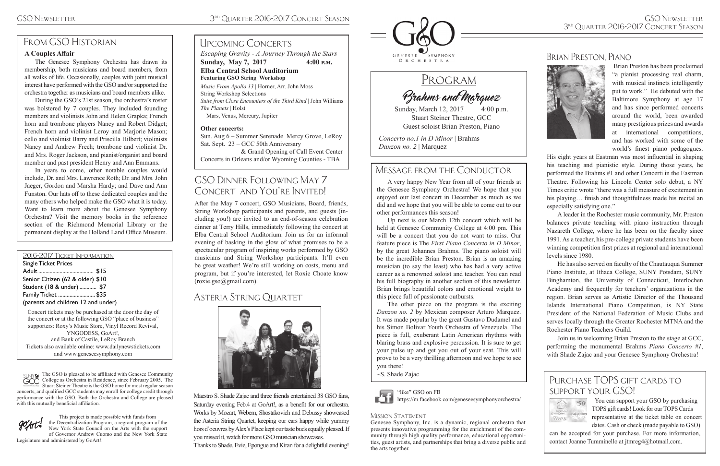#### FROM GSO HISTORIAN UPCOMING CONCERTS

Brahms and Marquez

Sunday, March 12, 2017 4:00 p.m. Stuart Steiner Theatre, GCC Guest soloist Brian Preston, Piano

*Concerto no.1 in D Minor* | Brahms *Danzon no. 2* | Marquez

2016-2017 Ticket Information Single Ticket Prices Adult ....................................... \$15 Senior Citizen (62 & older) \$10 Student (18 & under) ............ \$7 Family Ticket .......................... \$35 (parents and children 12 and under)

Concert tickets may be purchased at the door the day of the concert or at the following GSO "place of business" supporters: Roxy's Music Store, Vinyl Record Revival, YNGODESS, GoArt!, and Bank of Castile, LeRoy Branch Tickets also available online: www.dailynewstickets.com and www.geneseesymphony.com

> Genesee Symphony, Inc. is a dynamic, regional orchestra that presents innovative programming for the enrichment of the community through high quality performance, educational opportunities, guest artists, and partnerships that bring a diverse public and the arts together.

## Message from the Conductor

The GSO is pleased to be affiliated with Genesee Community College as Orchestra in Residence, since February 2005. The Stuart Steiner Theatre is the GSO home for most regular season concerts, and qualified GCC students may enroll for college credit through performance with the GSO. Both the Orchestra and College are pleased with this mutually beneficial affiliation.



*Escaping Gravity - A Journey Through the Stars* **Sunday, May 7, 2017 4:00 p.m. Elba Central School Auditorium Featuring GSO String Workshop** *Music From Apollo 13* | Horner, Arr. John Moss String Workshop Selections *Suite from Close Encounters of the Third Kind* | John Williams

*The Planets* | Holst

Mars, Venus, Mercury, Jupiter

#### **A Couples Affair**

The Genesee Symphony Orchestra has drawn its membership, both musicians and board members, from all walks of life. Occasionally, couples with joint musical interest have performed with the GSO and/or supported the orchestra together as musicians and board members alike.

During the GSO's 21st season, the orchestra's roster was bolstered by 7 couples. They included founding members and violinists John and Helen Grapka; French horn and trombone players Nancy and Robert Didget; French horn and violinist Leroy and Marjorie Mason; cello and violinist Barry and Priscilla Hilbert; violinists Nancy and Andrew Frech; trombone and violinist Dr. and Mrs. Roger Jackson, and pianist/organist and board member and past president Henry and Ann Emmans.

### GSO Dinner Following May 7 CONCERT AND YOU'RE INVITED!

In years to come, other notable couples would include, Dr. and Mrs. Lawrence Roth; Dr. and Mrs. John Jaeger, Gordon and Marsha Hardy; and Dave and Ann Funston. Our hats off to these dedicated couples and the many others who helped make the GSO what it is today. Want to learn more about the Genesee Symphony Orchestra? Visit the memory books in the reference section of the Richmond Memorial Library or the permanent display at the Holland Land Office Museum.

> This project is made possible with funds from the Decentralization Program, a regrant program of the New York State Council on the Arts with the support of Governor Andrew Cuomo and the New York State

Legislature and administered by GoArt!.

#### Brian Preston, Piano



 Brian Preston has been proclaimed "a pianist processing real charm, with musical instincts intelligently put to work." He debuted with the Baltimore Symphony at age 17 and has since performed concerts around the world, been awarded many prestigious prizes and awards at international competitions, and has worked with some of the world's finest piano pedagogues.

 $\begin{bmatrix} 50 \\ 20 \end{bmatrix}$  You can support your GSO by purchasing TOPS gift cards! Look for our TOPS Cards representative at the ticket table on concert dates. Cash or check (made payable to GSO)

His eight years at Eastman was most influential in shaping his teaching and pianistic style. During those years, he performed the Brahms #1 and other Concerti in the Eastman Theatre. Following his Lincoln Center solo debut, a NY Times critic wrote "there was a full measure of excitement in his playing... finish and thoughtfulness made his recital an especially satisfying one."

A leader in the Rochester music community, Mr. Preston balances private teaching with piano instruction through Nazareth College, where he has been on the faculty since 1991. As a teacher, his pre-college private students have been winning competition first prizes at regional and international levels since 1980.

He has also served on faculty of the Chautauqua Summer Piano Institute, at Ithaca College, SUNY Potsdam, SUNY Binghamton, the University of Connecticut, Interlochen Academy and frequently for teachers' organizations in the region. Brian serves as Artistic Director of the Thousand Islands International Piano Competition, is NY State President of the National Federation of Music Clubs and serves locally through the Greater Rochester MTNA and the Rochester Piano Teachers Guild.

Join us in welcoming Brian Preston to the stage at GCC, performing the monumental Brahms *Piano Concerto #1*, with Shade Zajac and your Genesee Symphony Orchestra!

After the May 7 concert, GSO Musicians, Board, friends, String Workshop participants and parents, and guests (including you!) are invited to an end-of-season celebration dinner at Terry Hills, immediately following the concert at Elba Central School Auditorium. Join us for an informal evening of basking in the glow of what promises to be a spectacular program of inspiring works performed by GSO musicians and String Workshop participants. It'll even be great weather! We're still working on costs, menu and program, but if you're interested, let Roxie Choate know (roxie.gso@gmail.com).

A very happy New Year from all of your friends at the Genesee Symphony Orchestra! We hope that you enjoyed our last concert in December as much as we did and we hope that you will be able to come out to our other performances this season!

Up next is our March 12th concert which will be held at Genesee Community College at 4:00 pm. This will be a concert that you do not want to miss. Our feature piece is The *First Piano Concerto in D Minor*, by the great Johannes Brahms. The piano soloist will be the incredible Brian Preston. Brian is an amazing musician (to say the least) who has had a very active career as a renowned soloist and teacher. You can read his full biography in another section of this newsletter. Brian brings beautiful colors and emotional weight to this piece full of passionate outbursts.

The other piece on the program is the exciting *Danzon no. 2* by Mexican composer Arturo Marquez. It was made popular by the great Gustavo Dudamel and his Simon Bolivar Youth Orchestra of Venezuela. The piece is full, exuberant Latin American rhythms with blaring brass and explosive percussion. It is sure to get your pulse up and get you out of your seat. This will prove to be a very thrilling afternoon and we hope to see you there!

~S. Shade Zajac



"like" GSO on FB

#### **Other concerts:**

Sun. Aug 6 – Summer Serenade Mercy Grove, LeRoy Sat. Sept. 23 – GCC 50th Anniversary

 & Grand Opening of Call Event Center Concerts in Orleans and/or Wyoming Counties - TBA

https://m.facebook.com/geneseesymphonyorchestra/

#### MISSION STATEMENT

### Purchase TOPS gift cards to support your GSO!



can be accepted for your purchase. For more information, contact Joanne Tumminello at jtmreg4@hotmail.com.

Maestro S. Shade Zajac and three friends entertained 38 GSO fans, Saturday evening Feb.4 at GoArt!, as a benefit for our orchestra. Works by Mozart, Webern, Shostakovich and Debussy showcased the Asteria String Quartet, keeping our ears happy while yummy hors d'oeuvres by Alex's Place kept our taste buds equally pleased. If you missed it, watch for more GSO musician showcases.

Thanks to Shade, Evie, Epongue and Kiran for a delightful evening!



# PROGRAM

## Asteria String Quartet